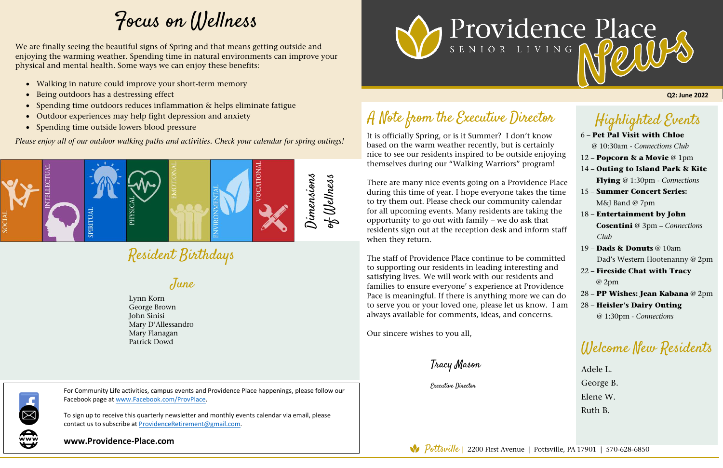#### Highlighted Events

#### 6 – **Pet Pal Visit with Chloe** @ 10:30am - *Connections Club*  12 – **Popcorn & a Movie** @ 1pm

- 14 **Outing to Island Park & Kite Flying** @ 1:30pm - *Connections*
- 15 **Summer Concert Series:** M&J Band @ 7pm
- 18 **Entertainment by John Cosentini** @ 3pm – *Connections Club*
- 19 **Dads & Donuts** @ 10am Dad's Western Hootenanny @ 2pm
- 22 **Fireside Chat with Tracy** @ 2pm
- 28 **PP Wishes: Jean Kabana** @ 2pm
- 28 **Heisler's Dairy Outing** @ 1:30pm - *Connections*

It is officially Spring, or is it Summer? I don't know based on the warm weather recently, but is certainly nice to see our residents inspired to be outside enjoying themselves during our "Walking Warriors" program!  $\overline{a}$ 

Resident Birthdays

## A Note from the Executive Director

There are many nice events going on a Providence Place during this time of year. I hope everyone takes the time to try them out. Please check our community calendar for all upcoming events. Many residents are taking the opportunity to go out with family – we do ask that residents sign out at the reception desk and inform staff when they return.

The staff of Providence Place continue to be committed to supporting our residents in leading interesting and satisfying lives. We will work with our residents and families to ensure everyone' s experience at Providence Pace is meaningful. If there is anything more we can do to serve you or your loved one, please let us know. I am always available for comments, ideas, and concerns.

Our sincere wishes to you all,

Tracy Mason

Executive Director

**Q2: June 2022**



To sign up to receive this quarterly newsletter and monthly events calendar via email, please contact us to subscribe at ProvidenceRetirement@gmail.com.

**www.Providence-Place.com**

Pottsville | 2200 First Avenue | Pottsville, PA 17901 | 570-628-6850



### Welcome New Residents

Adele L. George B. Elene W. Ruth B.



# Focus on Wellness

June

Lynn Korn George Brown John Sinisi Mary D'Allessandro Mary Flanagan Patrick Dowd

We are finally seeing the beautiful signs of Spring and that means getting outside and enjoying the warming weather. Spending time in natural environments can improve your physical and mental health. Some ways we can enjoy these benefits:

- Walking in nature could improve your short-term memory
- Being outdoors has a destressing effect
- Spending time outdoors reduces inflammation & helps eliminate fatigue
- Outdoor experiences may help fight depression and anxiety
- Spending time outside lowers blood pressure

*Please enjoy all of our outdoor walking paths and activities. Check your calendar for spring outings!*